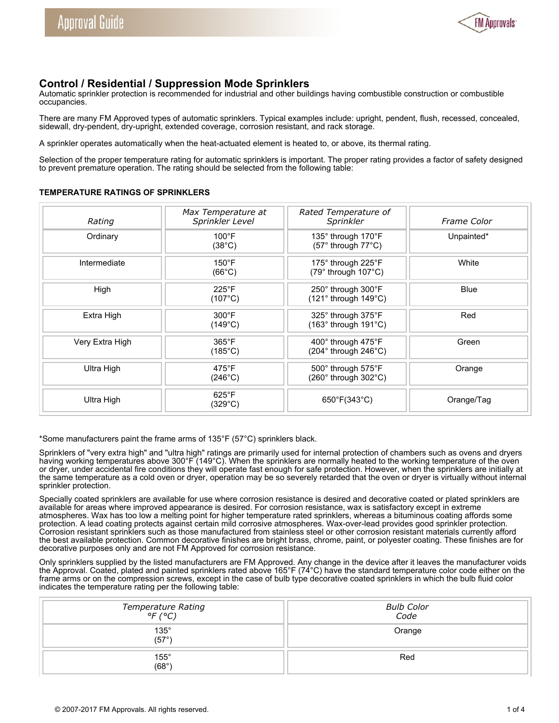

# **Control / Residential / Suppression Mode Sprinklers**

Automatic sprinkler protection is recommended for industrial and other buildings having combustible construction or combustible occupancies.

There are many FM Approved types of automatic sprinklers. Typical examples include: upright, pendent, flush, recessed, concealed, sidewall, dry-pendent, dry-upright, extended coverage, corrosion resistant, and rack storage.

A sprinkler operates automatically when the heat-actuated element is heated to, or above, its thermal rating.

Selection of the proper temperature rating for automatic sprinklers is important. The proper rating provides a factor of safety designed to prevent premature operation. The rating should be selected from the following table:

#### **TEMPERATURE RATINGS OF SPRINKLERS**

| Rating          | Max Temperature at<br>Sprinkler Level | Rated Temperature of<br>Sprinkler                         | <b>Frame Color</b> |
|-----------------|---------------------------------------|-----------------------------------------------------------|--------------------|
| Ordinary        | $100^{\circ}$ F<br>$(38^{\circ}C)$    | 135° through 170°F<br>$(57°$ through $77°$ C)             | Unpainted*         |
| Intermediate    | $150^{\circ}$ F<br>$(66^{\circ}C)$    | 175° through 225°F<br>(79° through 107°C)                 | White              |
| High            | $225^{\circ}$ F<br>$(107^{\circ}C)$   | 250° through 300°F<br>$(121°$ through $149°C)$            | <b>Blue</b>        |
| Extra High      | $300^{\circ}$ F<br>$(149^{\circ}C)$   | 325° through 375°F<br>$(163°$ through $191°C)$            | Red                |
| Very Extra High | $365^{\circ}$ F<br>$(185^{\circ}C)$   | 400° through 475°F<br>$(204°$ through $246°$ C)           | Green              |
| Ultra High      | $475^{\circ}$ F<br>$(246^{\circ}C)$   | $500^\circ$ through $575^\circ$ F<br>(260° through 302°C) | Orange             |
| Ultra High      | $625^{\circ}$ F<br>(329°C)            | $650^{\circ}F(343^{\circ}C)$                              | Orange/Tag         |

\*Some manufacturers paint the frame arms of 135°F (57°C) sprinklers black.

Sprinklers of "very extra high" and "ultra high" ratings are primarily used for internal protection of chambers such as ovens and dryers having working temperatures above 300°F (149°C). When the sprinklers are normally heated to the working temperature of the oven or dryer, under accidental fire conditions they will operate fast enough for safe protection. However, when the sprinklers are initially at the same temperature as a cold oven or dryer, operation may be so severely retarded that the oven or dryer is virtually without internal sprinkler protection.

Specially coated sprinklers are available for use where corrosion resistance is desired and decorative coated or plated sprinklers are available for areas where improved appearance is desired. For corrosion resistance, wax is satisfactory except in extreme atmospheres. Wax has too low a melting point for higher temperature rated sprinklers, whereas a bituminous coating affords some protection. A lead coating protects against certain mild corrosive atmospheres. Wax-over-lead provides good sprinkler protection. Corrosion resistant sprinklers such as those manufactured from stainless steel or other corrosion resistant materials currently afford the best available protection. Common decorative finishes are bright brass, chrome, paint, or polyester coating. These finishes are for decorative purposes only and are not FM Approved for corrosion resistance.

Only sprinklers supplied by the listed manufacturers are FM Approved. Any change in the device after it leaves the manufacturer voids the Approval. Coated, plated and painted sprinklers rated above 165°F (74°C) have the standard temperature color code either on the frame arms or on the compression screws, except in the case of bulb type decorative coated sprinklers in which the bulb fluid color indicates the temperature rating per the following table:

| Temperature Rating<br>°F (°C) | <b>Bulb Color</b><br>Code |
|-------------------------------|---------------------------|
| $135^\circ$<br>(57°)          | Orange                    |
| $155^\circ$<br>$(68^\circ)$   | Red                       |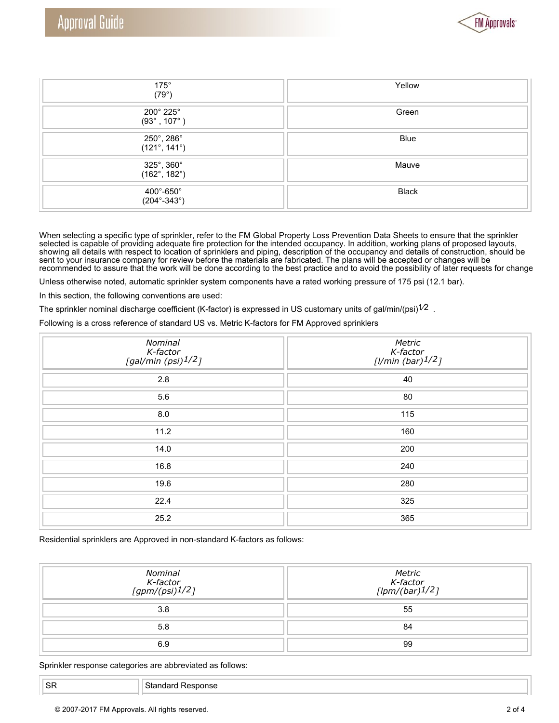

| $175^\circ$<br>(79°)                           | Yellow       |
|------------------------------------------------|--------------|
| $200^\circ 225^\circ$<br>$(93^{\circ}$ , 107°) | Green        |
| 250°, 286°<br>$(121^{\circ}, 141^{\circ})$     | <b>Blue</b>  |
| 325°, 360°<br>$(162^{\circ}, 182^{\circ})$     | Mauve        |
| 400°-650°<br>$(204^{\circ}-343^{\circ})$       | <b>Black</b> |

When selecting a specific type of sprinkler, refer to the FM Global Property Loss Prevention Data Sheets to ensure that the sprinkler selected is capable of providing adequate fire protection for the intended occupancy. In addition, working plans of proposed layouts, showing all details with respect to location of sprinklers and piping, description of the occupancy and details of construction, should be sent to your insurance company for review before the materials are fabricated. The plans will be accepted or changes will be recommended to assure that the work will be done according to the best practice and to avoid the possibility of later requests for change

Unless otherwise noted, automatic sprinkler system components have a rated working pressure of 175 psi (12.1 bar).

In this section, the following conventions are used:

The sprinkler nominal discharge coefficient (K-factor) is expressed in US customary units of gal/min/(psi) $^{1/2}$  .

Following is a cross reference of standard US vs. Metric K-factors for FM Approved sprinklers

| Nominal<br>K-factor<br>[gal/min (psi)1/2] | Metric<br>K-factor<br>[l/min (bar)1/2] |
|-------------------------------------------|----------------------------------------|
| 2.8                                       | 40                                     |
| 5.6                                       | 80                                     |
| 8.0                                       | 115                                    |
| 11.2                                      | 160                                    |
| 14.0                                      | 200                                    |
| 16.8                                      | 240                                    |
| 19.6                                      | 280                                    |
| 22.4                                      | 325                                    |
| 25.2                                      | 365                                    |

Residential sprinklers are Approved in non-standard K-factors as follows:

| Nominal<br>K-factor<br>[gpm/(psi) <sup>1/2</sup> ] | Metric<br>$K$ -factor<br>[lpm/(bar) $1/2$ ] |
|----------------------------------------------------|---------------------------------------------|
| 3.8                                                | 55                                          |
| 5.8                                                | 84                                          |
| 6.9                                                | 99                                          |

Sprinkler response categories are abbreviated as follows: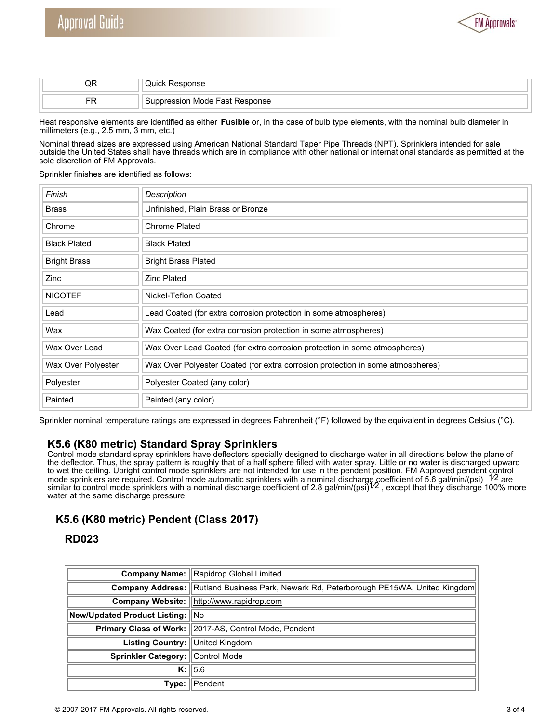

|    | היחוור∵            |
|----|--------------------|
| mп | Mode Fast Response |

Heat responsive elements are identified as either **Fusible** or, in the case of bulb type elements, with the nominal bulb diameter in millimeters (e.g., 2.5 mm, 3 mm, etc.)

Nominal thread sizes are expressed using American National Standard Taper Pipe Threads (NPT). Sprinklers intended for sale outside the United States shall have threads which are in compliance with other national or international standards as permitted at the sole discretion of FM Approvals.

Sprinkler finishes are identified as follows:

| Finish              | <b>Description</b>                                                             |
|---------------------|--------------------------------------------------------------------------------|
| <b>Brass</b>        | Unfinished, Plain Brass or Bronze                                              |
| Chrome              | <b>Chrome Plated</b>                                                           |
| <b>Black Plated</b> | <b>Black Plated</b>                                                            |
| <b>Bright Brass</b> | <b>Bright Brass Plated</b>                                                     |
| Zinc                | <b>Zinc Plated</b>                                                             |
| <b>NICOTEF</b>      | Nickel-Teflon Coated                                                           |
| Lead                | Lead Coated (for extra corrosion protection in some atmospheres)               |
| Wax                 | Wax Coated (for extra corrosion protection in some atmospheres)                |
| Wax Over Lead       | Wax Over Lead Coated (for extra corrosion protection in some atmospheres)      |
| Wax Over Polyester  | Wax Over Polyester Coated (for extra corrosion protection in some atmospheres) |
| Polyester           | Polyester Coated (any color)                                                   |
| Painted             | Painted (any color)                                                            |

Sprinkler nominal temperature ratings are expressed in degrees Fahrenheit (°F) followed by the equivalent in degrees Celsius (°C).

# **K5.6 (K80 metric) Standard Spray Sprinklers**

Control mode standard spray sprinklers have deflectors specially designed to discharge water in all directions below the plane of the deflector. Thus, the spray pattern is roughly that of a half sphere filled with water spray. Little or no water is discharged upward to wet the ceiling. Upright control mode sprinklers are not intended for use in the pendent position. FM Approved pendent control<br>mode sprinklers are required. Control mode automatic sprinklers with a nominal discharge coe similar to control mode sprinklers with a nominal discharge coefficient of 2.8 gal/min/(psi) $^{1/2}$ , except that they discharge 100% more water at the same discharge pressure.

# **K5.6 (K80 metric) Pendent (Class 2017)**

# **RD023**

|                                  | <b>Company Name: Rapidrop Global Limited</b>                                           |  |
|----------------------------------|----------------------------------------------------------------------------------------|--|
|                                  | Company Address: Rutland Business Park, Newark Rd, Peterborough PE15WA, United Kingdom |  |
|                                  | Company Website:   http://www.rapidrop.com                                             |  |
| New/Updated Product Listing: No  |                                                                                        |  |
|                                  | Primary Class of Work: 2017-AS, Control Mode, Pendent                                  |  |
| Listing Country: United Kingdom  |                                                                                        |  |
| Sprinkler Category: Control Mode |                                                                                        |  |
|                                  | $K:$ 5.6                                                                               |  |
|                                  | <b>Type: Il Pendent</b>                                                                |  |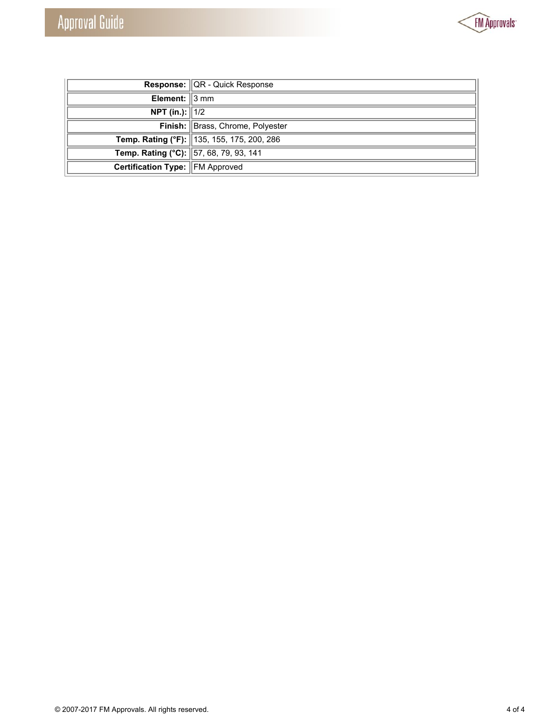

| <b>Response:</b> QR - Quick Response   |                                            |
|----------------------------------------|--------------------------------------------|
| Element: 3 mm                          |                                            |
| <b>NPT</b> (in.): $1/2$                |                                            |
|                                        | Finish: Brass, Chrome, Polyester           |
|                                        | Temp. Rating (°F): 135, 155, 175, 200, 286 |
| Temp. Rating (°C): 57, 68, 79, 93, 141 |                                            |
| <b>Certification Type: FM Approved</b> |                                            |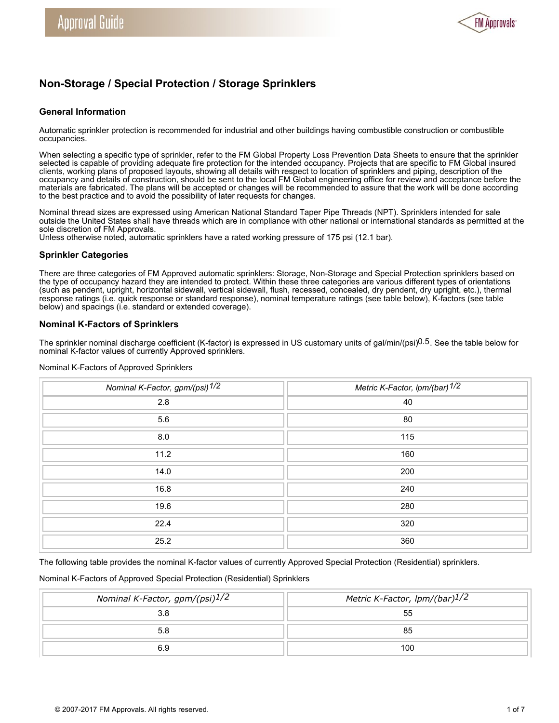

# **Non-Storage / Special Protection / Storage Sprinklers**

# **General Information**

Automatic sprinkler protection is recommended for industrial and other buildings having combustible construction or combustible occupancies.

When selecting a specific type of sprinkler, refer to the FM Global Property Loss Prevention Data Sheets to ensure that the sprinkler selected is capable of providing adequate fire protection for the intended occupancy. Projects that are specific to FM Global insured clients, working plans of proposed layouts, showing all details with respect to location of sprinklers and piping, description of the occupancy and details of construction, should be sent to the local FM Global engineering office for review and acceptance before the materials are fabricated. The plans will be accepted or changes will be recommended to assure that the work will be done according to the best practice and to avoid the possibility of later requests for changes.

Nominal thread sizes are expressed using American National Standard Taper Pipe Threads (NPT). Sprinklers intended for sale outside the United States shall have threads which are in compliance with other national or international standards as permitted at the sole discretion of FM Approvals.

Unless otherwise noted, automatic sprinklers have a rated working pressure of 175 psi (12.1 bar).

### **Sprinkler Categories**

There are three categories of FM Approved automatic sprinklers: Storage, Non-Storage and Special Protection sprinklers based on the type of occupancy hazard they are intended to protect. Within these three categories are various different types of orientations (such as pendent, upright, horizontal sidewall, vertical sidewall, flush, recessed, concealed, dry pendent, dry upright, etc.), thermal response ratings (i.e. quick response or standard response), nominal temperature ratings (see table below), K-factors (see table below) and spacings (i.e. standard or extended coverage).

# **Nominal K-Factors of Sprinklers**

The sprinkler nominal discharge coefficient (K-factor) is expressed in US customary units of gal/min/(psi)<sup>0.5</sup>. See the table below for nominal K-factor values of currently Approved sprinklers.

| Nominal K-Factor, gpm/(psi) 1/2 | Metric K-Factor, Ipm/(bar) 1/2 |
|---------------------------------|--------------------------------|
| 2.8                             | 40                             |
| 5.6                             | 80                             |
| 8.0                             | 115                            |
| 11.2                            | 160                            |
| 14.0                            | 200                            |
| 16.8                            | 240                            |
| 19.6                            | 280                            |
| 22.4                            | 320                            |
| 25.2                            | 360                            |

Nominal K-Factors of Approved Sprinklers

The following table provides the nominal K-factor values of currently Approved Special Protection (Residential) sprinklers.

### Nominal K-Factors of Approved Special Protection (Residential) Sprinklers

| Nominal K-Factor, gpm/(psi)1/2 | Metric K-Factor, lpm/(bar)1/2 |
|--------------------------------|-------------------------------|
|                                | 55                            |
|                                | 85                            |
| 6.9                            | 100                           |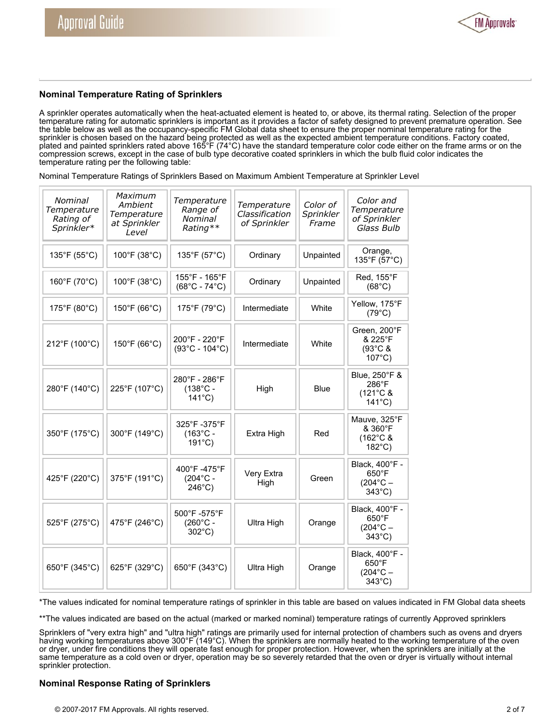

# **Nominal Temperature Rating of Sprinklers**

A sprinkler operates automatically when the heat-actuated element is heated to, or above, its thermal rating. Selection of the proper temperature rating for automatic sprinklers is important as it provides a factor of safety designed to prevent premature operation. See the table below as well as the occupancy-specific FM Global data sheet to ensure the proper nominal temperature rating for the sprinkler is chosen based on the hazard being protected as well as the expected ambient temperature conditions. Factory coated, plated and painted sprinklers rated above 165°F (74°C) have the standard temperature color code either on the frame arms or on the compression screws, except in the case of bulb type decorative coated sprinklers in which the bulb fluid color indicates the temperature rating per the following table:

Nominal Temperature Ratings of Sprinklers Based on Maximum Ambient Temperature at Sprinkler Level

| Nominal<br>Temperature<br>Rating of<br>Sprinkler* | Maximum<br>Ambient<br>Temperature<br>at Sprinkler<br>Level | Temperature<br>Range of<br>Nominal<br>Rating**         | Temperature<br>Classification<br>of Sprinkler | Color of<br>Sprinkler<br>Frame | Color and<br>Temperature<br>of Sprinkler<br>Glass Bulb                   |
|---------------------------------------------------|------------------------------------------------------------|--------------------------------------------------------|-----------------------------------------------|--------------------------------|--------------------------------------------------------------------------|
| 135°F (55°C)                                      | $100^{\circ}$ F (38 $^{\circ}$ C)                          | 135°F (57°C)                                           | Ordinary                                      | Unpainted                      | Orange,<br>135°F (57°C)                                                  |
| 160°F (70°C)                                      | 100°F (38°C)                                               | 155°F - 165°F<br>$(68^{\circ}C - 74^{\circ}C)$         | Ordinary                                      | Unpainted                      | Red, 155°F<br>$(68^{\circ}C)$                                            |
| 175°F (80°C)                                      | 150°F (66°C)                                               | 175°F (79°C)                                           | Intermediate                                  | White                          | Yellow, 175°F<br>$(79^{\circ}C)$                                         |
| 212°F (100°C)                                     | 150°F (66°C)                                               | 200°F - 220°F<br>$(93^{\circ}C - 104^{\circ}C)$        | Intermediate                                  | White                          | Green, 200°F<br>& 225°F<br>$(93^{\circ}$ C &<br>$107^{\circ}$ C)         |
| 280°F (140°C)                                     | 225°F (107°C)                                              | 280°F - 286°F<br>$(138^{\circ}C -$<br>$141^{\circ}$ C) | High                                          | Blue                           | Blue, 250°F &<br>286°F<br>(121°C &<br>$141^{\circ}$ C)                   |
| 350°F (175°C)                                     | 300°F (149°C)                                              | 325°F-375°F<br>$(163^{\circ}C -$<br>$191^{\circ}$ C)   | Extra High                                    | Red                            | Mauve, 325°F<br>& 360°F<br>(162°C &<br>$182^{\circ}$ C)                  |
| 425°F (220°C)                                     | 375°F (191°C)                                              | 400°F-475°F<br>$(204^{\circ}C -$<br>$246^{\circ}$ C)   | Very Extra<br>High                            | Green                          | Black, 400°F -<br>$650^\circ F$<br>$(204^{\circ}C -$<br>$343^{\circ}$ C) |
| 525°F (275°C)                                     | 475°F (246°C)                                              | 500°F-575°F<br>$(260^{\circ}C -$<br>$302^{\circ}$ C)   | Ultra High                                    | Orange                         | Black, 400°F -<br>$650^\circ F$<br>$(204^{\circ}C -$<br>343°C)           |
| 650°F (345°C)                                     | 625°F (329°C)                                              | 650°F (343°C)                                          | Ultra High                                    | Orange                         | Black, 400°F -<br>$650^\circ F$<br>$(204^{\circ}C -$<br>343°C)           |

\*The values indicated for nominal temperature ratings of sprinkler in this table are based on values indicated in FM Global data sheets

\*\*The values indicated are based on the actual (marked or marked nominal) temperature ratings of currently Approved sprinklers

Sprinklers of "very extra high" and "ultra high" ratings are primarily used for internal protection of chambers such as ovens and dryers having working temperatures above 300°F (149°C). When the sprinklers are normally heated to the working temperature of the oven or dryer, under fire conditions they will operate fast enough for proper protection. However, when the sprinklers are initially at the same temperature as a cold oven or dryer, operation may be so severely retarded that the oven or dryer is virtually without internal sprinkler protection.

# **Nominal Response Rating of Sprinklers**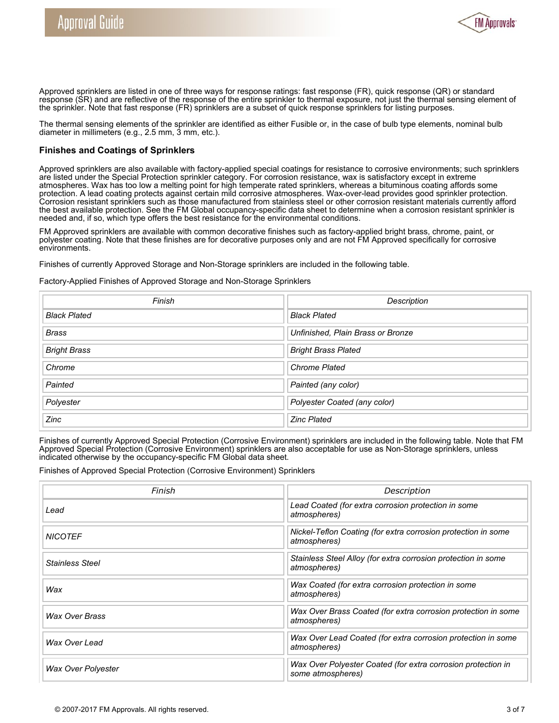

Approved sprinklers are listed in one of three ways for response ratings: fast response (FR), quick response (QR) or standard response (SR) and are reflective of the response of the entire sprinkler to thermal exposure, not just the thermal sensing element of the sprinkler. Note that fast response (FR) sprinklers are a subset of quick response sprinklers for listing purposes.

The thermal sensing elements of the sprinkler are identified as either Fusible or, in the case of bulb type elements, nominal bulb diameter in millimeters (e.g., 2.5 mm, 3 mm, etc.).

## **Finishes and Coatings of Sprinklers**

Approved sprinklers are also available with factory-applied special coatings for resistance to corrosive environments; such sprinklers are listed under the Special Protection sprinkler category. For corrosion resistance, wax is satisfactory except in extreme atmospheres. Wax has too low a melting point for high temperate rated sprinklers, whereas a bituminous coating affords some protection. A lead coating protects against certain mild corrosive atmospheres. Wax-over-lead provides good sprinkler protection. Corrosion resistant sprinklers such as those manufactured from stainless steel or other corrosion resistant materials currently afford the best available protection. See the FM Global occupancy-specific data sheet to determine when a corrosion resistant sprinkler is needed and, if so, which type offers the best resistance for the environmental conditions.

FM Approved sprinklers are available with common decorative finishes such as factory-applied bright brass, chrome, paint, or polyester coating. Note that these finishes are for decorative purposes only and are not FM Approved specifically for corrosive environments.

Finishes of currently Approved Storage and Non-Storage sprinklers are included in the following table.

Factory-Applied Finishes of Approved Storage and Non-Storage Sprinklers

| Finish              | Description                       |  |
|---------------------|-----------------------------------|--|
| <b>Black Plated</b> | <b>Black Plated</b>               |  |
| <b>Brass</b>        | Unfinished, Plain Brass or Bronze |  |
| <b>Bright Brass</b> | <b>Bright Brass Plated</b>        |  |
| Chrome              | <b>Chrome Plated</b>              |  |
| Painted             | Painted (any color)               |  |
| Polyester           | Polyester Coated (any color)      |  |
| Zinc                | <b>Zinc Plated</b>                |  |

Finishes of currently Approved Special Protection (Corrosive Environment) sprinklers are included in the following table. Note that FM Approved Special Protection (Corrosive Environment) sprinklers are also acceptable for use as Non-Storage sprinklers, unless indicated otherwise by the occupancy-specific FM Global data sheet.

Finishes of Approved Special Protection (Corrosive Environment) Sprinklers

| Finish                    | Description                                                                       |  |  |
|---------------------------|-----------------------------------------------------------------------------------|--|--|
| Lead                      | Lead Coated (for extra corrosion protection in some<br>atmospheres)               |  |  |
| <b>NICOTEF</b>            | Nickel-Teflon Coating (for extra corrosion protection in some<br>atmospheres)     |  |  |
| <b>Stainless Steel</b>    | Stainless Steel Alloy (for extra corrosion protection in some<br>atmospheres)     |  |  |
| Wax                       | Wax Coated (for extra corrosion protection in some<br>atmospheres)                |  |  |
| <b>Wax Over Brass</b>     | Wax Over Brass Coated (for extra corrosion protection in some<br>atmospheres)     |  |  |
| Wax Over Lead             | Wax Over Lead Coated (for extra corrosion protection in some<br>atmospheres)      |  |  |
| <b>Wax Over Polyester</b> | Wax Over Polyester Coated (for extra corrosion protection in<br>some atmospheres) |  |  |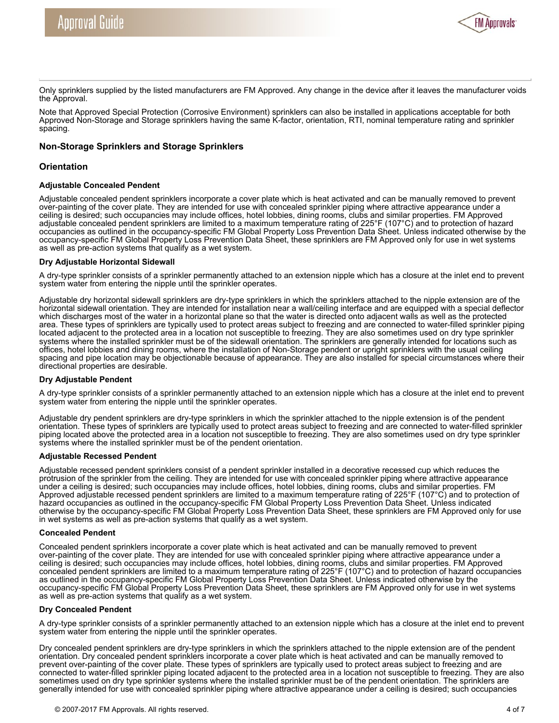

Only sprinklers supplied by the listed manufacturers are FM Approved. Any change in the device after it leaves the manufacturer voids the Approval.

Note that Approved Special Protection (Corrosive Environment) sprinklers can also be installed in applications acceptable for both Approved Non-Storage and Storage sprinklers having the same K-factor, orientation, RTI, nominal temperature rating and sprinkler spacing.

### **Non-Storage Sprinklers and Storage Sprinklers**

### **Orientation**

### **Adjustable Concealed Pendent**

Adjustable concealed pendent sprinklers incorporate a cover plate which is heat activated and can be manually removed to prevent over-painting of the cover plate. They are intended for use with concealed sprinkler piping where attractive appearance under a ceiling is desired; such occupancies may include offices, hotel lobbies, dining rooms, clubs and similar properties. FM Approved adjustable concealed pendent sprinklers are limited to a maximum temperature rating of 225°F (107°C) and to protection of hazard occupancies as outlined in the occupancy-specific FM Global Property Loss Prevention Data Sheet. Unless indicated otherwise by the occupancy-specific FM Global Property Loss Prevention Data Sheet, these sprinklers are FM Approved only for use in wet systems as well as pre-action systems that qualify as a wet system.

#### **Dry Adjustable Horizontal Sidewall**

A dry-type sprinkler consists of a sprinkler permanently attached to an extension nipple which has a closure at the inlet end to prevent system water from entering the nipple until the sprinkler operates.

Adjustable dry horizontal sidewall sprinklers are dry-type sprinklers in which the sprinklers attached to the nipple extension are of the horizontal sidewall orientation. They are intended for installation near a wall/ceiling interface and are equipped with a special deflector which discharges most of the water in a horizontal plane so that the water is directed onto adjacent walls as well as the protected area. These types of sprinklers are typically used to protect areas subject to freezing and are connected to water-filled sprinkler piping located adjacent to the protected area in a location not susceptible to freezing. They are also sometimes used on dry type sprinkler systems where the installed sprinkler must be of the sidewall orientation. The sprinklers are generally intended for locations such as offices, hotel lobbies and dining rooms, where the installation of Non-Storage pendent or upright sprinklers with the usual ceiling spacing and pipe location may be objectionable because of appearance. They are also installed for special circumstances where their directional properties are desirable.

### **Dry Adjustable Pendent**

A dry-type sprinkler consists of a sprinkler permanently attached to an extension nipple which has a closure at the inlet end to prevent system water from entering the nipple until the sprinkler operates.

Adjustable dry pendent sprinklers are dry-type sprinklers in which the sprinkler attached to the nipple extension is of the pendent orientation. These types of sprinklers are typically used to protect areas subject to freezing and are connected to water-filled sprinkler piping located above the protected area in a location not susceptible to freezing. They are also sometimes used on dry type sprinkler systems where the installed sprinkler must be of the pendent orientation.

#### **Adjustable Recessed Pendent**

Adjustable recessed pendent sprinklers consist of a pendent sprinkler installed in a decorative recessed cup which reduces the protrusion of the sprinkler from the ceiling. They are intended for use with concealed sprinkler piping where attractive appearance under a ceiling is desired; such occupancies may include offices, hotel lobbies, dining rooms, clubs and similar properties. FM Approved adjustable recessed pendent sprinklers are limited to a maximum temperature rating of 225°F (107°C) and to protection of hazard occupancies as outlined in the occupancy-specific FM Global Property Loss Prevention Data Sheet. Unless indicated otherwise by the occupancy-specific FM Global Property Loss Prevention Data Sheet, these sprinklers are FM Approved only for use in wet systems as well as pre-action systems that qualify as a wet system.

#### **Concealed Pendent**

Concealed pendent sprinklers incorporate a cover plate which is heat activated and can be manually removed to prevent over-painting of the cover plate. They are intended for use with concealed sprinkler piping where attractive appearance under a ceiling is desired; such occupancies may include offices, hotel lobbies, dining rooms, clubs and similar properties. FM Approved concealed pendent sprinklers are limited to a maximum temperature rating of 225°F (107°C) and to protection of hazard occupancies as outlined in the occupancy-specific FM Global Property Loss Prevention Data Sheet. Unless indicated otherwise by the occupancy-specific FM Global Property Loss Prevention Data Sheet, these sprinklers are FM Approved only for use in wet systems as well as pre-action systems that qualify as a wet system.

#### **Dry Concealed Pendent**

A dry-type sprinkler consists of a sprinkler permanently attached to an extension nipple which has a closure at the inlet end to prevent system water from entering the nipple until the sprinkler operates.

Dry concealed pendent sprinklers are dry-type sprinklers in which the sprinklers attached to the nipple extension are of the pendent orientation. Dry concealed pendent sprinklers incorporate a cover plate which is heat activated and can be manually removed to prevent over-painting of the cover plate. These types of sprinklers are typically used to protect areas subject to freezing and are connected to water-filled sprinkler piping located adjacent to the protected area in a location not susceptible to freezing. They are also sometimes used on dry type sprinkler systems where the installed sprinkler must be of the pendent orientation. The sprinklers are generally intended for use with concealed sprinkler piping where attractive appearance under a ceiling is desired; such occupancies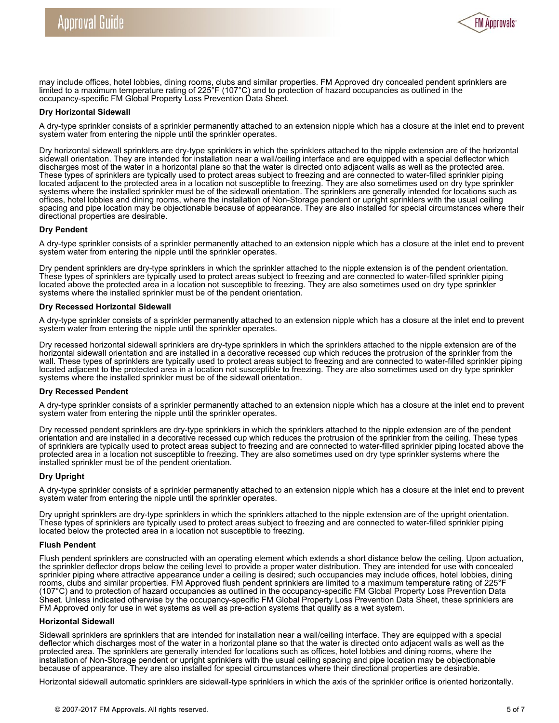

may include offices, hotel lobbies, dining rooms, clubs and similar properties. FM Approved dry concealed pendent sprinklers are limited to a maximum temperature rating of 225°F (107°C) and to protection of hazard occupancies as outlined in the occupancy-specific FM Global Property Loss Prevention Data Sheet.

#### **Dry Horizontal Sidewall**

A dry-type sprinkler consists of a sprinkler permanently attached to an extension nipple which has a closure at the inlet end to prevent system water from entering the nipple until the sprinkler operates.

Dry horizontal sidewall sprinklers are dry-type sprinklers in which the sprinklers attached to the nipple extension are of the horizontal sidewall orientation. They are intended for installation near a wall/ceiling interface and are equipped with a special deflector which discharges most of the water in a horizontal plane so that the water is directed onto adjacent walls as well as the protected area. These types of sprinklers are typically used to protect areas subject to freezing and are connected to water-filled sprinkler piping located adjacent to the protected area in a location not susceptible to freezing. They are also sometimes used on dry type sprinkler systems where the installed sprinkler must be of the sidewall orientation. The sprinklers are generally intended for locations such as offices, hotel lobbies and dining rooms, where the installation of Non-Storage pendent or upright sprinklers with the usual ceiling spacing and pipe location may be objectionable because of appearance. They are also installed for special circumstances where their directional properties are desirable.

#### **Dry Pendent**

A dry-type sprinkler consists of a sprinkler permanently attached to an extension nipple which has a closure at the inlet end to prevent system water from entering the nipple until the sprinkler operates.

Dry pendent sprinklers are dry-type sprinklers in which the sprinkler attached to the nipple extension is of the pendent orientation. These types of sprinklers are typically used to protect areas subject to freezing and are connected to water-filled sprinkler piping located above the protected area in a location not susceptible to freezing. They are also sometimes used on dry type sprinkler systems where the installed sprinkler must be of the pendent orientation.

#### **Dry Recessed Horizontal Sidewall**

A dry-type sprinkler consists of a sprinkler permanently attached to an extension nipple which has a closure at the inlet end to prevent system water from entering the nipple until the sprinkler operates.

Dry recessed horizontal sidewall sprinklers are dry-type sprinklers in which the sprinklers attached to the nipple extension are of the horizontal sidewall orientation and are installed in a decorative recessed cup which reduces the protrusion of the sprinkler from the wall. These types of sprinklers are typically used to protect areas subject to freezing and are connected to water-filled sprinkler piping located adjacent to the protected area in a location not susceptible to freezing. They are also sometimes used on dry type sprinkler systems where the installed sprinkler must be of the sidewall orientation.

#### **Dry Recessed Pendent**

A dry-type sprinkler consists of a sprinkler permanently attached to an extension nipple which has a closure at the inlet end to prevent system water from entering the nipple until the sprinkler operates.

Dry recessed pendent sprinklers are dry-type sprinklers in which the sprinklers attached to the nipple extension are of the pendent orientation and are installed in a decorative recessed cup which reduces the protrusion of the sprinkler from the ceiling. These types of sprinklers are typically used to protect areas subject to freezing and are connected to water-filled sprinkler piping located above the protected area in a location not susceptible to freezing. They are also sometimes used on dry type sprinkler systems where the installed sprinkler must be of the pendent orientation.

### **Dry Upright**

A dry-type sprinkler consists of a sprinkler permanently attached to an extension nipple which has a closure at the inlet end to prevent system water from entering the nipple until the sprinkler operates.

Dry upright sprinklers are dry-type sprinklers in which the sprinklers attached to the nipple extension are of the upright orientation. These types of sprinklers are typically used to protect areas subject to freezing and are connected to water-filled sprinkler piping located below the protected area in a location not susceptible to freezing.

#### **Flush Pendent**

Flush pendent sprinklers are constructed with an operating element which extends a short distance below the ceiling. Upon actuation, the sprinkler deflector drops below the ceiling level to provide a proper water distribution. They are intended for use with concealed sprinkler piping where attractive appearance under a ceiling is desired; such occupancies may include offices, hotel lobbies, dining rooms, clubs and similar properties. FM Approved flush pendent sprinklers are limited to a maximum temperature rating of 225°F (107°C) and to protection of hazard occupancies as outlined in the occupancy-specific FM Global Property Loss Prevention Data Sheet. Unless indicated otherwise by the occupancy-specific FM Global Property Loss Prevention Data Sheet, these sprinklers are FM Approved only for use in wet systems as well as pre-action systems that qualify as a wet system.

#### **Horizontal Sidewall**

Sidewall sprinklers are sprinklers that are intended for installation near a wall/ceiling interface. They are equipped with a special deflector which discharges most of the water in a horizontal plane so that the water is directed onto adjacent walls as well as the protected area. The sprinklers are generally intended for locations such as offices, hotel lobbies and dining rooms, where the installation of Non-Storage pendent or upright sprinklers with the usual ceiling spacing and pipe location may be objectionable because of appearance. They are also installed for special circumstances where their directional properties are desirable.

Horizontal sidewall automatic sprinklers are sidewall-type sprinklers in which the axis of the sprinkler orifice is oriented horizontally.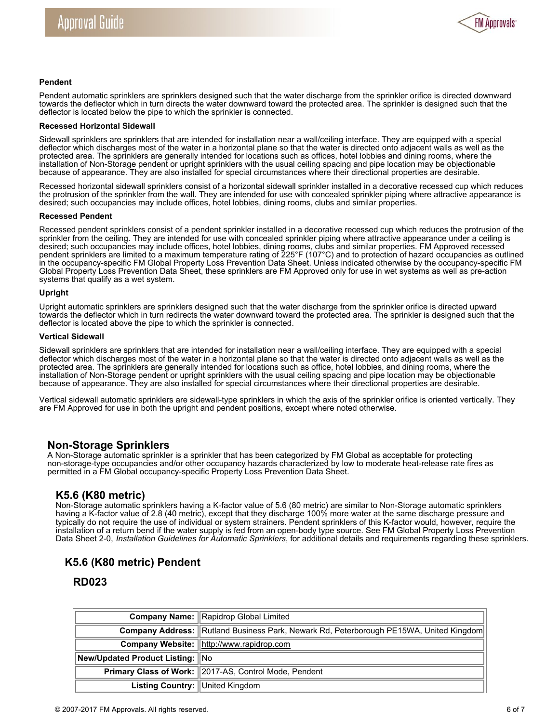

#### **Pendent**

Pendent automatic sprinklers are sprinklers designed such that the water discharge from the sprinkler orifice is directed downward towards the deflector which in turn directs the water downward toward the protected area. The sprinkler is designed such that the deflector is located below the pipe to which the sprinkler is connected.

#### **Recessed Horizontal Sidewall**

Sidewall sprinklers are sprinklers that are intended for installation near a wall/ceiling interface. They are equipped with a special deflector which discharges most of the water in a horizontal plane so that the water is directed onto adjacent walls as well as the protected area. The sprinklers are generally intended for locations such as offices, hotel lobbies and dining rooms, where the installation of Non-Storage pendent or upright sprinklers with the usual ceiling spacing and pipe location may be objectionable because of appearance. They are also installed for special circumstances where their directional properties are desirable.

Recessed horizontal sidewall sprinklers consist of a horizontal sidewall sprinkler installed in a decorative recessed cup which reduces the protrusion of the sprinkler from the wall. They are intended for use with concealed sprinkler piping where attractive appearance is desired; such occupancies may include offices, hotel lobbies, dining rooms, clubs and similar properties.

#### **Recessed Pendent**

Recessed pendent sprinklers consist of a pendent sprinkler installed in a decorative recessed cup which reduces the protrusion of the sprinkler from the ceiling. They are intended for use with concealed sprinkler piping where attractive appearance under a ceiling is desired; such occupancies may include offices, hotel lobbies, dining rooms, clubs and similar properties. FM Approved recessed pendent sprinklers are limited to a maximum temperature rating of 225°F (107°C) and to protection of hazard occupancies as outlined in the occupancy-specific FM Global Property Loss Prevention Data Sheet. Unless indicated otherwise by the occupancy-specific FM Global Property Loss Prevention Data Sheet, these sprinklers are FM Approved only for use in wet systems as well as pre-action systems that qualify as a wet system.

#### **Upright**

Upright automatic sprinklers are sprinklers designed such that the water discharge from the sprinkler orifice is directed upward towards the deflector which in turn redirects the water downward toward the protected area. The sprinkler is designed such that the deflector is located above the pipe to which the sprinkler is connected.

#### **Vertical Sidewall**

Sidewall sprinklers are sprinklers that are intended for installation near a wall/ceiling interface. They are equipped with a special deflector which discharges most of the water in a horizontal plane so that the water is directed onto adjacent walls as well as the protected area. The sprinklers are generally intended for locations such as office, hotel lobbies, and dining rooms, where the installation of Non-Storage pendent or upright sprinklers with the usual ceiling spacing and pipe location may be objectionable because of appearance. They are also installed for special circumstances where their directional properties are desirable.

Vertical sidewall automatic sprinklers are sidewall-type sprinklers in which the axis of the sprinkler orifice is oriented vertically. They are FM Approved for use in both the upright and pendent positions, except where noted otherwise.

# **Non-Storage Sprinklers**

A Non-Storage automatic sprinkler is a sprinkler that has been categorized by FM Global as acceptable for protecting non-storage-type occupancies and/or other occupancy hazards characterized by low to moderate heat-release rate fires as permitted in a FM Global occupancy-specific Property Loss Prevention Data Sheet.

# **K5.6 (K80 metric)**

Non-Storage automatic sprinklers having a K-factor value of 5.6 (80 metric) are similar to Non-Storage automatic sprinklers having a K-factor value of 2.8 (40 metric), except that they discharge 100% more water at the same discharge pressure and typically do not require the use of individual or system strainers. Pendent sprinklers of this K-factor would, however, require the installation of a return bend if the water supply is fed from an open-body type source. See FM Global Property Loss Prevention Data Sheet 2-0, *Installation Guidelines for Automatic Sprinklers*, for additional details and requirements regarding these sprinklers.

# **K5.6 (K80 metric) Pendent**

# **RD023**

|                                  | <b>Company Name: Rapidrop Global Limited</b>                                           |  |  |
|----------------------------------|----------------------------------------------------------------------------------------|--|--|
|                                  | Company Address: Rutland Business Park, Newark Rd, Peterborough PE15WA, United Kingdom |  |  |
|                                  | Company Website:  http://www.rapidrop.com                                              |  |  |
| New/Updated Product Listing: INo |                                                                                        |  |  |
|                                  | Primary Class of Work: 2017-AS, Control Mode, Pendent                                  |  |  |
| Listing Country: United Kingdom  |                                                                                        |  |  |